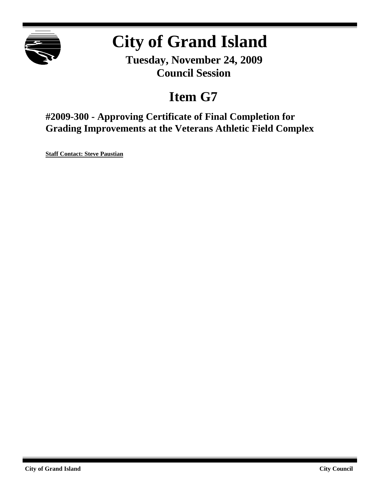

# **City of Grand Island**

**Tuesday, November 24, 2009 Council Session**

## **Item G7**

**#2009-300 - Approving Certificate of Final Completion for Grading Improvements at the Veterans Athletic Field Complex**

**Staff Contact: Steve Paustian**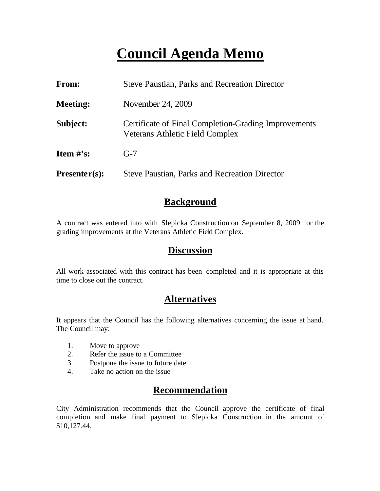## **Council Agenda Memo**

| From:                          | <b>Steve Paustian, Parks and Recreation Director</b>                                           |
|--------------------------------|------------------------------------------------------------------------------------------------|
| <b>Meeting:</b>                | November 24, 2009                                                                              |
| Subject:                       | Certificate of Final Completion-Grading Improvements<br><b>Veterans Athletic Field Complex</b> |
| <b>Item <math>\#</math>'s:</b> | $G-7$                                                                                          |
| $Presenter(s):$                | <b>Steve Paustian, Parks and Recreation Director</b>                                           |

## **Background**

A contract was entered into with Slepicka Construction on September 8, 2009 for the grading improvements at the Veterans Athletic Field Complex.

### **Discussion**

All work associated with this contract has been completed and it is appropriate at this time to close out the contract.

## **Alternatives**

It appears that the Council has the following alternatives concerning the issue at hand. The Council may:

- 1. Move to approve
- 2. Refer the issue to a Committee
- 3. Postpone the issue to future date
- 4. Take no action on the issue

## **Recommendation**

City Administration recommends that the Council approve the certificate of final completion and make final payment to Slepicka Construction in the amount of \$10,127.44.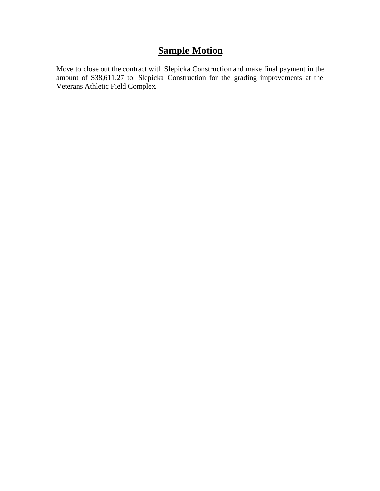## **Sample Motion**

Move to close out the contract with Slepicka Construction and make final payment in the amount of \$38,611.27 to Slepicka Construction for the grading improvements at the Veterans Athletic Field Complex.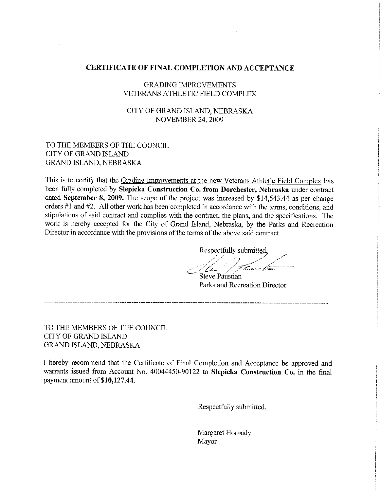#### **CERTIFICATE OF FINAL COMPLETION AND ACCEPTANCE**

#### **GRADING IMPROVEMENTS VETERANS ATHLETIC FIELD COMPLEX**

#### CITY OF GRAND ISLAND, NEBRASKA **NOVEMBER 24, 2009**

#### TO THE MEMBERS OF THE COUNCIL **CITY OF GRAND ISLAND GRAND ISLAND, NEBRASKA**

This is to certify that the Grading Improvements at the new Veterans Athletic Field Complex has been fully completed by Slepicka Construction Co. from Dorchester, Nebraska under contract dated September 8, 2009. The scope of the project was increased by  $$14,543.44$  as per change orders #1 and #2. All other work has been completed in accordance with the terms, conditions, and stipulations of said contract and complies with the contract, the plans, and the specifications. The work is hereby accepted for the City of Grand Island, Nebraska, by the Parks and Recreation Director in accordance with the provisions of the terms of the above said contract.

Respectfully submitted. au C سد هم مسمو Steve Paustian

Parks and Recreation Director

TO THE MEMBERS OF THE COUNCIL **CITY OF GRAND ISLAND GRAND ISLAND, NEBRASKA** 

I hereby recommend that the Certificate of Final Completion and Acceptance be approved and warrants issued from Account No. 40044450-90122 to Slepicka Construction Co. in the final payment amount of \$10,127.44.

Respectfully submitted,

Margaret Hornady Mayor